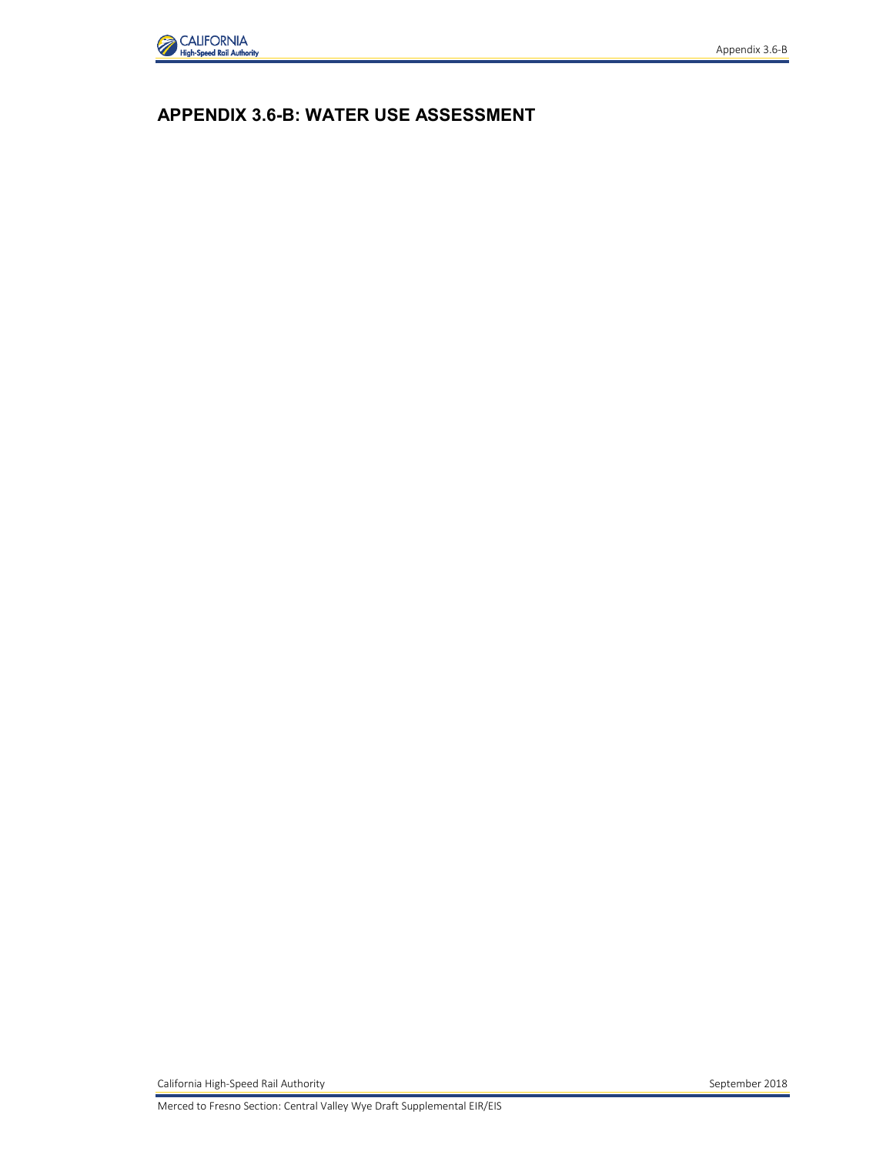

# **APPENDIX 3.6-B: WATER USE ASSESSMENT**

California High-Speed Rail Authority **September 2018** September 2018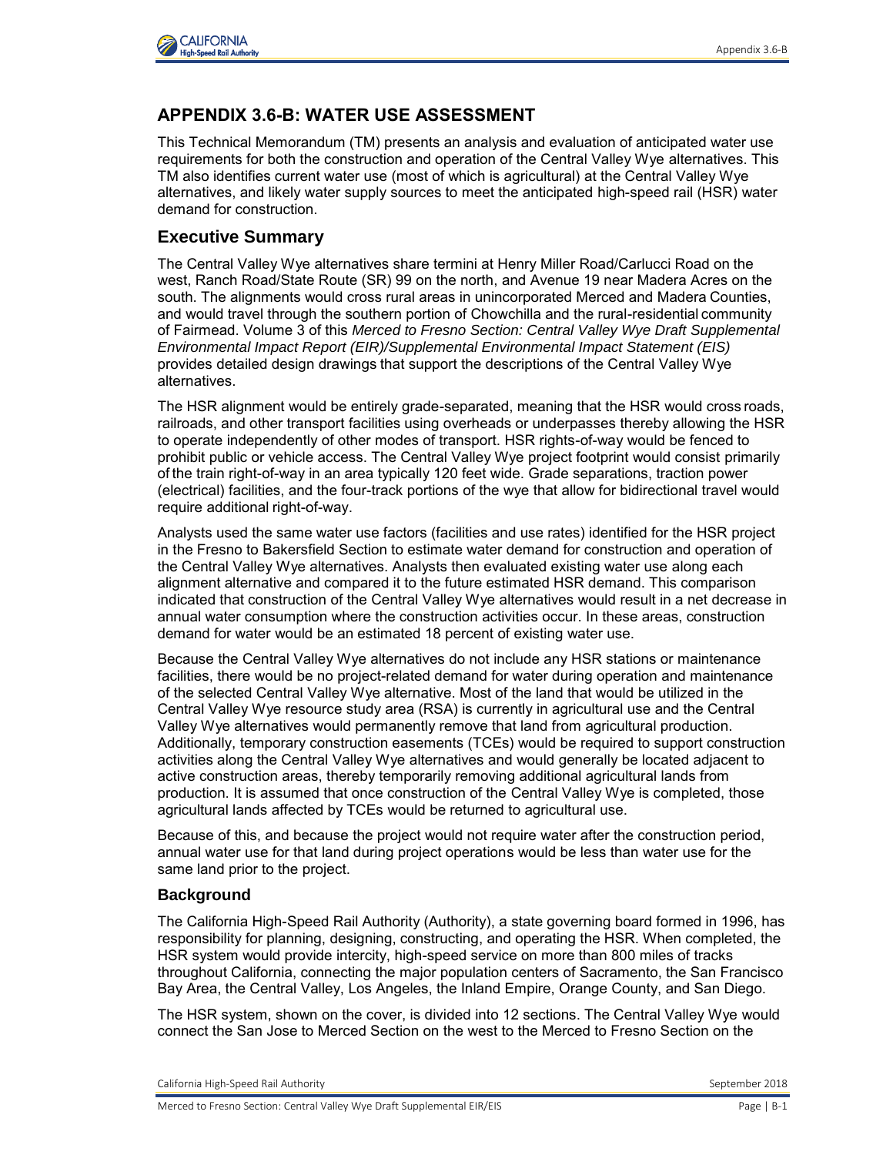

## **APPENDIX 3.6-B: WATER USE ASSESSMENT**

This Technical Memorandum (TM) presents an analysis and evaluation of anticipated water use requirements for both the construction and operation of the Central Valley Wye alternatives. This TM also identifies current water use (most of which is agricultural) at the Central Valley Wye alternatives, and likely water supply sources to meet the anticipated high-speed rail (HSR) water demand for construction.

#### **Executive Summary**

The Central Valley Wye alternatives share termini at Henry Miller Road/Carlucci Road on the west, Ranch Road/State Route (SR) 99 on the north, and Avenue 19 near Madera Acres on the south. The alignments would cross rural areas in unincorporated Merced and Madera Counties, and would travel through the southern portion of Chowchilla and the rural-residential community of Fairmead. Volume 3 of this *Merced to Fresno Section: Central Valley Wye Draft Supplemental Environmental Impact Report (EIR)/Supplemental Environmental Impact Statement (EIS)* provides detailed design drawings that support the descriptions of the Central Valley Wye alternatives.

The HSR alignment would be entirely grade-separated, meaning that the HSR would cross roads, railroads, and other transport facilities using overheads or underpasses thereby allowing the HSR to operate independently of other modes of transport. HSR rights-of-way would be fenced to prohibit public or vehicle access. The Central Valley Wye project footprint would consist primarily of the train right-of-way in an area typically 120 feet wide. Grade separations, traction power (electrical) facilities, and the four-track portions of the wye that allow for bidirectional travel would require additional right-of-way.

Analysts used the same water use factors (facilities and use rates) identified for the HSR project in the Fresno to Bakersfield Section to estimate water demand for construction and operation of the Central Valley Wye alternatives. Analysts then evaluated existing water use along each alignment alternative and compared it to the future estimated HSR demand. This comparison indicated that construction of the Central Valley Wye alternatives would result in a net decrease in annual water consumption where the construction activities occur. In these areas, construction demand for water would be an estimated 18 percent of existing water use.

Because the Central Valley Wye alternatives do not include any HSR stations or maintenance facilities, there would be no project-related demand for water during operation and maintenance of the selected Central Valley Wye alternative. Most of the land that would be utilized in the Central Valley Wye resource study area (RSA) is currently in agricultural use and the Central Valley Wye alternatives would permanently remove that land from agricultural production. Additionally, temporary construction easements (TCEs) would be required to support construction activities along the Central Valley Wye alternatives and would generally be located adjacent to active construction areas, thereby temporarily removing additional agricultural lands from production. It is assumed that once construction of the Central Valley Wye is completed, those agricultural lands affected by TCEs would be returned to agricultural use.

Because of this, and because the project would not require water after the construction period, annual water use for that land during project operations would be less than water use for the same land prior to the project.

#### **Background**

The California High-Speed Rail Authority (Authority), a state governing board formed in 1996, has responsibility for planning, designing, constructing, and operating the HSR. When completed, the HSR system would provide intercity, high-speed service on more than 800 miles of tracks throughout California, connecting the major population centers of Sacramento, the San Francisco Bay Area, the Central Valley, Los Angeles, the Inland Empire, Orange County, and San Diego.

The HSR system, shown on the cover, is divided into 12 sections. The Central Valley Wye would connect the San Jose to Merced Section on the west to the Merced to Fresno Section on the

California High-Speed Rail Authority September 2018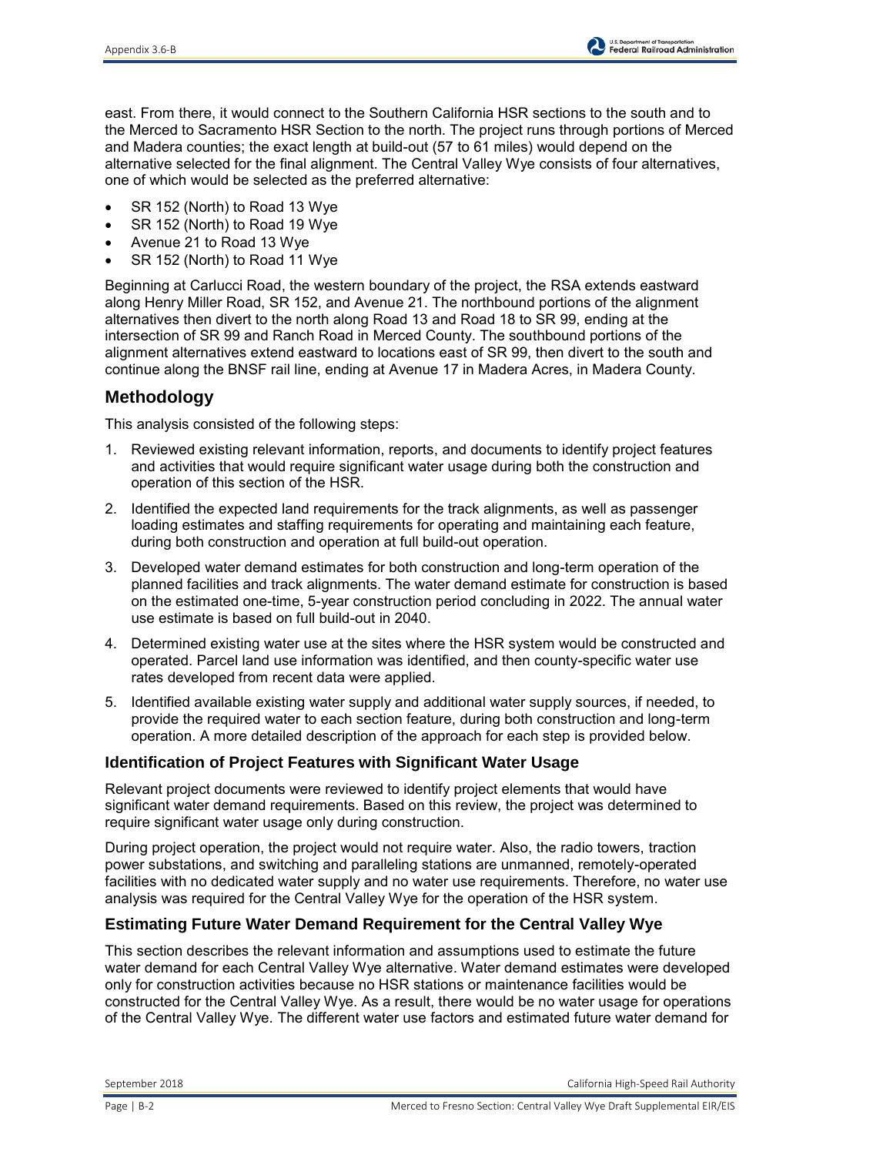east. From there, it would connect to the Southern California HSR sections to the south and to the Merced to Sacramento HSR Section to the north. The project runs through portions of Merced and Madera counties; the exact length at build-out (57 to 61 miles) would depend on the alternative selected for the final alignment. The Central Valley Wye consists of four alternatives, one of which would be selected as the preferred alternative:

- SR 152 (North) to Road 13 Wye
- SR 152 (North) to Road 19 Wye
- Avenue 21 to Road 13 Wye
- SR 152 (North) to Road 11 Wye

Beginning at Carlucci Road, the western boundary of the project, the RSA extends eastward along Henry Miller Road, SR 152, and Avenue 21. The northbound portions of the alignment alternatives then divert to the north along Road 13 and Road 18 to SR 99, ending at the intersection of SR 99 and Ranch Road in Merced County. The southbound portions of the alignment alternatives extend eastward to locations east of SR 99, then divert to the south and continue along the BNSF rail line, ending at Avenue 17 in Madera Acres, in Madera County.

## **Methodology**

This analysis consisted of the following steps:

- 1. Reviewed existing relevant information, reports, and documents to identify project features and activities that would require significant water usage during both the construction and operation of this section of the HSR.
- 2. Identified the expected land requirements for the track alignments, as well as passenger loading estimates and staffing requirements for operating and maintaining each feature, during both construction and operation at full build-out operation.
- 3. Developed water demand estimates for both construction and long-term operation of the planned facilities and track alignments. The water demand estimate for construction is based on the estimated one-time, 5-year construction period concluding in 2022. The annual water use estimate is based on full build-out in 2040.
- 4. Determined existing water use at the sites where the HSR system would be constructed and operated. Parcel land use information was identified, and then county-specific water use rates developed from recent data were applied.
- 5. Identified available existing water supply and additional water supply sources, if needed, to provide the required water to each section feature, during both construction and long-term operation. A more detailed description of the approach for each step is provided below.

### **Identification of Project Features with Significant Water Usage**

Relevant project documents were reviewed to identify project elements that would have significant water demand requirements. Based on this review, the project was determined to require significant water usage only during construction.

During project operation, the project would not require water. Also, the radio towers, traction power substations, and switching and paralleling stations are unmanned, remotely-operated facilities with no dedicated water supply and no water use requirements. Therefore, no water use analysis was required for the Central Valley Wye for the operation of the HSR system.

#### **Estimating Future Water Demand Requirement for the Central Valley Wye**

This section describes the relevant information and assumptions used to estimate the future water demand for each Central Valley Wye alternative. Water demand estimates were developed only for construction activities because no HSR stations or maintenance facilities would be constructed for the Central Valley Wye. As a result, there would be no water usage for operations of the Central Valley Wye. The different water use factors and estimated future water demand for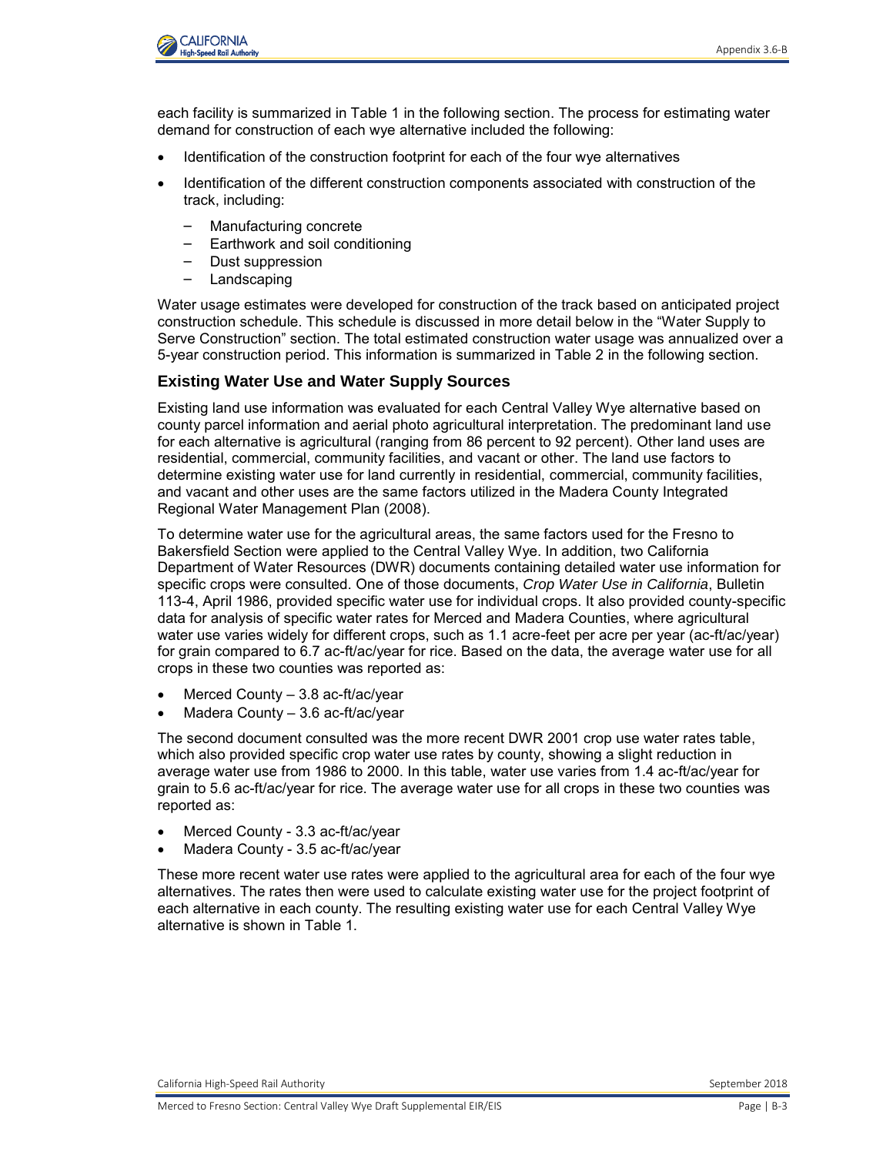

each facility is summarized in Table 1 in the following section. The process for estimating water demand for construction of each wye alternative included the following:

- Identification of the construction footprint for each of the four wye alternatives
- Identification of the different construction components associated with construction of the track, including:
	- Manufacturing concrete
	- Earthwork and soil conditioning
	- Dust suppression
	- Landscaping

Water usage estimates were developed for construction of the track based on anticipated project construction schedule. This schedule is discussed in more detail below in the "Water Supply to Serve Construction" section. The total estimated construction water usage was annualized over a 5-year construction period. This information is summarized in Table 2 in the following section.

#### **Existing Water Use and Water Supply Sources**

Existing land use information was evaluated for each Central Valley Wye alternative based on county parcel information and aerial photo agricultural interpretation. The predominant land use for each alternative is agricultural (ranging from 86 percent to 92 percent). Other land uses are residential, commercial, community facilities, and vacant or other. The land use factors to determine existing water use for land currently in residential, commercial, community facilities, and vacant and other uses are the same factors utilized in the Madera County Integrated Regional Water Management Plan (2008).

To determine water use for the agricultural areas, the same factors used for the Fresno to Bakersfield Section were applied to the Central Valley Wye. In addition, two California Department of Water Resources (DWR) documents containing detailed water use information for specific crops were consulted. One of those documents, *Crop Water Use in California*, Bulletin 113-4, April 1986, provided specific water use for individual crops. It also provided county-specific data for analysis of specific water rates for Merced and Madera Counties, where agricultural water use varies widely for different crops, such as 1.1 acre-feet per acre per year (ac-ft/ac/year) for grain compared to 6.7 ac-ft/ac/year for rice. Based on the data, the average water use for all crops in these two counties was reported as:

- Merced County 3.8 ac-ft/ac/year
- Madera County 3.6 ac-ft/ac/year

The second document consulted was the more recent DWR 2001 crop use water rates table, which also provided specific crop water use rates by county, showing a slight reduction in average water use from 1986 to 2000. In this table, water use varies from 1.4 ac-ft/ac/year for grain to 5.6 ac-ft/ac/year for rice. The average water use for all crops in these two counties was reported as:

- Merced County 3.3 ac-ft/ac/year
- Madera County 3.5 ac-ft/ac/year

These more recent water use rates were applied to the agricultural area for each of the four wye alternatives. The rates then were used to calculate existing water use for the project footprint of each alternative in each county. The resulting existing water use for each Central Valley Wye alternative is shown in Table 1.

California High-Speed Rail Authority **September 2018** September 2018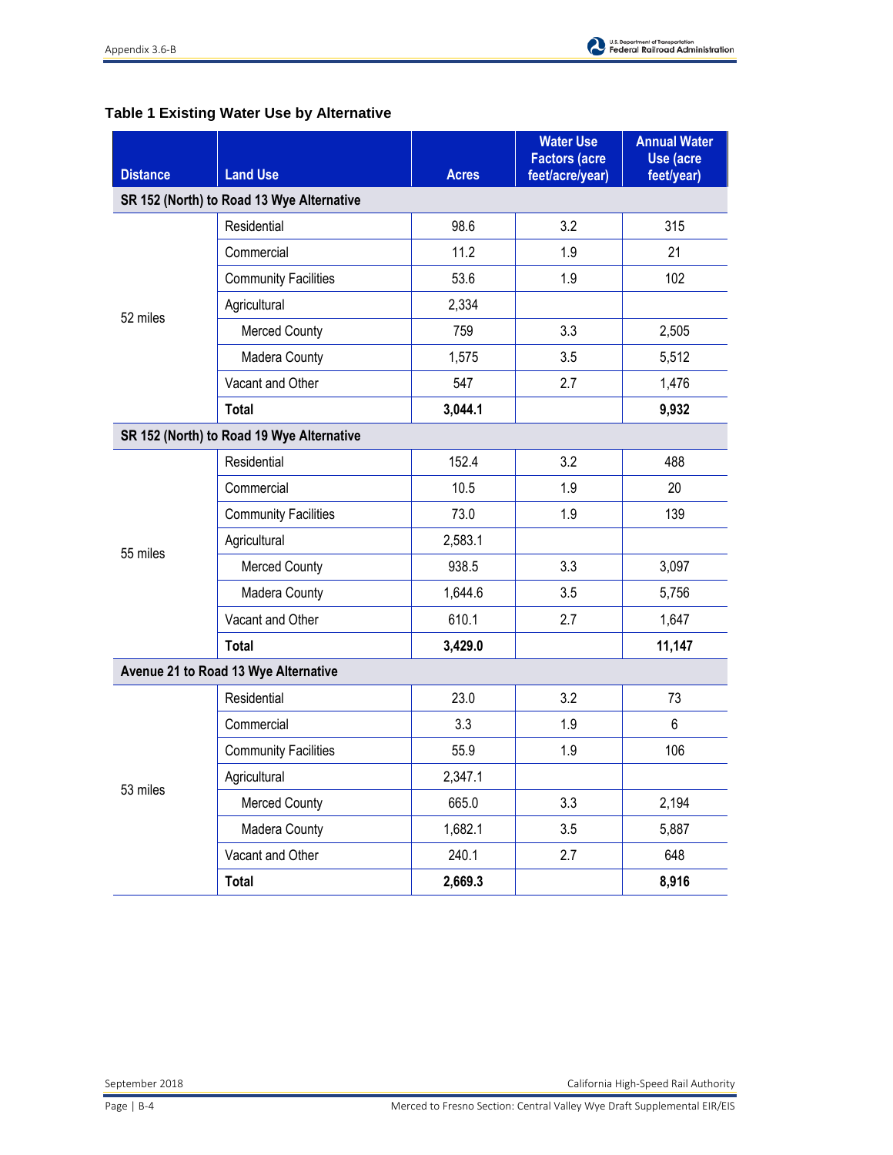

### **Table 1 Existing Water Use by Alternative**

| <b>Distance</b>                           | <b>Land Use</b>                           | <b>Acres</b> | <b>Water Use</b><br><b>Factors (acre</b><br>feet/acre/year) | <b>Annual Water</b><br>Use (acre<br>feet/year) |
|-------------------------------------------|-------------------------------------------|--------------|-------------------------------------------------------------|------------------------------------------------|
|                                           | SR 152 (North) to Road 13 Wye Alternative |              |                                                             |                                                |
|                                           | Residential                               | 98.6         | 3.2                                                         | 315                                            |
|                                           | Commercial                                | 11.2         | 1.9                                                         | 21                                             |
|                                           | <b>Community Facilities</b>               | 53.6         | 1.9                                                         | 102                                            |
|                                           | Agricultural                              | 2,334        |                                                             |                                                |
| 52 miles                                  | <b>Merced County</b>                      | 759          | 3.3                                                         | 2,505                                          |
|                                           | Madera County                             | 1,575        | 3.5                                                         | 5,512                                          |
|                                           | Vacant and Other                          | 547          | 2.7                                                         | 1,476                                          |
|                                           | <b>Total</b>                              | 3,044.1      |                                                             | 9,932                                          |
| SR 152 (North) to Road 19 Wye Alternative |                                           |              |                                                             |                                                |
|                                           | Residential                               | 152.4        | 3.2                                                         | 488                                            |
|                                           | Commercial                                | 10.5         | 1.9                                                         | 20                                             |
|                                           | <b>Community Facilities</b>               | 73.0         | 1.9                                                         | 139                                            |
| 55 miles                                  | Agricultural                              | 2,583.1      |                                                             |                                                |
|                                           | <b>Merced County</b>                      | 938.5        | 3.3                                                         | 3,097                                          |
|                                           | Madera County                             | 1,644.6      | 3.5                                                         | 5,756                                          |
|                                           | Vacant and Other                          | 610.1        | 2.7                                                         | 1,647                                          |
|                                           | Total                                     | 3,429.0      |                                                             | 11,147                                         |
| Avenue 21 to Road 13 Wye Alternative      |                                           |              |                                                             |                                                |
|                                           | Residential                               | 23.0         | 3.2                                                         | 73                                             |
| 53 miles                                  | Commercial                                | 3.3          | 1.9                                                         | 6                                              |
|                                           | <b>Community Facilities</b>               | 55.9         | 1.9                                                         | 106                                            |
|                                           | Agricultural                              | 2,347.1      |                                                             |                                                |
|                                           | <b>Merced County</b>                      | 665.0        | 3.3                                                         | 2,194                                          |
|                                           | Madera County                             | 1,682.1      | 3.5                                                         | 5,887                                          |
|                                           | Vacant and Other                          | 240.1        | 2.7                                                         | 648                                            |
|                                           | <b>Total</b>                              | 2,669.3      |                                                             | 8,916                                          |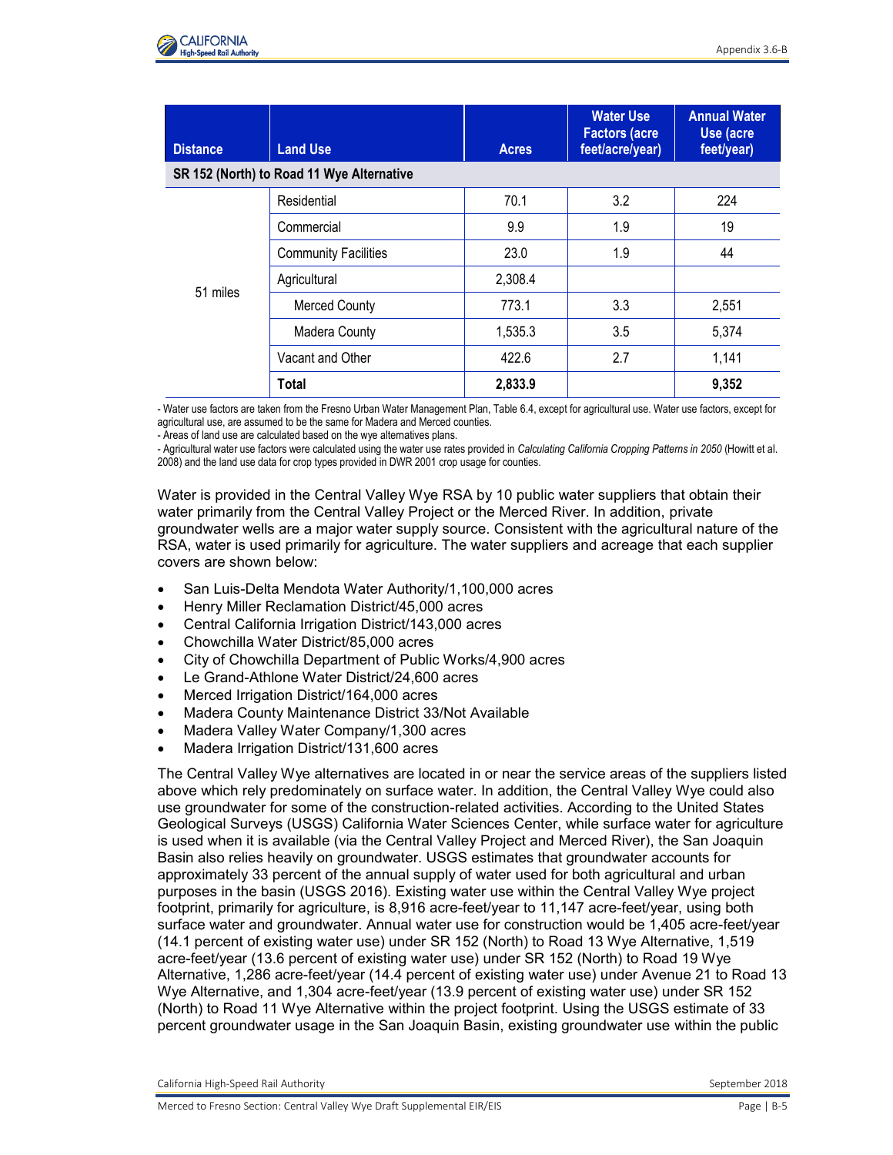

| <b>Distance</b> | <b>Land Use</b>                           | <b>Acres</b> | <b>Water Use</b><br><b>Factors (acre</b><br>feet/acre/year) | <b>Annual Water</b><br>Use (acre<br>feet/year) |
|-----------------|-------------------------------------------|--------------|-------------------------------------------------------------|------------------------------------------------|
|                 | SR 152 (North) to Road 11 Wye Alternative |              |                                                             |                                                |
| 51 miles        | Residential                               | 70.1         | 3.2                                                         | 224                                            |
|                 | Commercial                                | 9.9          | 1.9                                                         | 19                                             |
|                 | <b>Community Facilities</b>               | 23.0         | 1.9                                                         | 44                                             |
|                 | Agricultural                              | 2,308.4      |                                                             |                                                |
|                 | <b>Merced County</b>                      | 773.1        | 3.3                                                         | 2,551                                          |
|                 | <b>Madera County</b>                      | 1,535.3      | 3.5                                                         | 5,374                                          |
|                 | Vacant and Other                          | 422.6        | 2.7                                                         | 1,141                                          |
|                 | Total                                     | 2,833.9      |                                                             | 9,352                                          |

- Water use factors are taken from the Fresno Urban Water Management Plan, Table 6.4, except for agricultural use. Water use factors, except for agricultural use, are assumed to be the same for Madera and Merced counties.

- Areas of land use are calculated based on the wye alternatives plans.

- Agricultural water use factors were calculated using the water use rates provided in *Calculating California Cropping Patterns in 2050* (Howitt et al. 2008) and the land use data for crop types provided in DWR 2001 crop usage for counties.

Water is provided in the Central Valley Wye RSA by 10 public water suppliers that obtain their water primarily from the Central Valley Project or the Merced River. In addition, private groundwater wells are a major water supply source. Consistent with the agricultural nature of the RSA, water is used primarily for agriculture. The water suppliers and acreage that each supplier covers are shown below:

- San Luis-Delta Mendota Water Authority/1,100,000 acres
- Henry Miller Reclamation District/45,000 acres
- Central California Irrigation District/143,000 acres
- Chowchilla Water District/85,000 acres
- City of Chowchilla Department of Public Works/4,900 acres
- Le Grand-Athlone Water District/24,600 acres
- Merced Irrigation District/164,000 acres
- Madera County Maintenance District 33/Not Available
- Madera Valley Water Company/1,300 acres
- Madera Irrigation District/131,600 acres

The Central Valley Wye alternatives are located in or near the service areas of the suppliers listed above which rely predominately on surface water. In addition, the Central Valley Wye could also use groundwater for some of the construction-related activities. According to the United States Geological Surveys (USGS) California Water Sciences Center, while surface water for agriculture is used when it is available (via the Central Valley Project and Merced River), the San Joaquin Basin also relies heavily on groundwater. USGS estimates that groundwater accounts for approximately 33 percent of the annual supply of water used for both agricultural and urban purposes in the basin (USGS 2016). Existing water use within the Central Valley Wye project footprint, primarily for agriculture, is 8,916 acre-feet/year to 11,147 acre-feet/year, using both surface water and groundwater. Annual water use for construction would be 1,405 acre-feet/year (14.1 percent of existing water use) under SR 152 (North) to Road 13 Wye Alternative, 1,519 acre-feet/year (13.6 percent of existing water use) under SR 152 (North) to Road 19 Wye Alternative, 1,286 acre-feet/year (14.4 percent of existing water use) under Avenue 21 to Road 13 Wye Alternative, and 1,304 acre-feet/year (13.9 percent of existing water use) under SR 152 (North) to Road 11 Wye Alternative within the project footprint. Using the USGS estimate of 33 percent groundwater usage in the San Joaquin Basin, existing groundwater use within the public

California High-Speed Rail Authority **September 2018** September 2018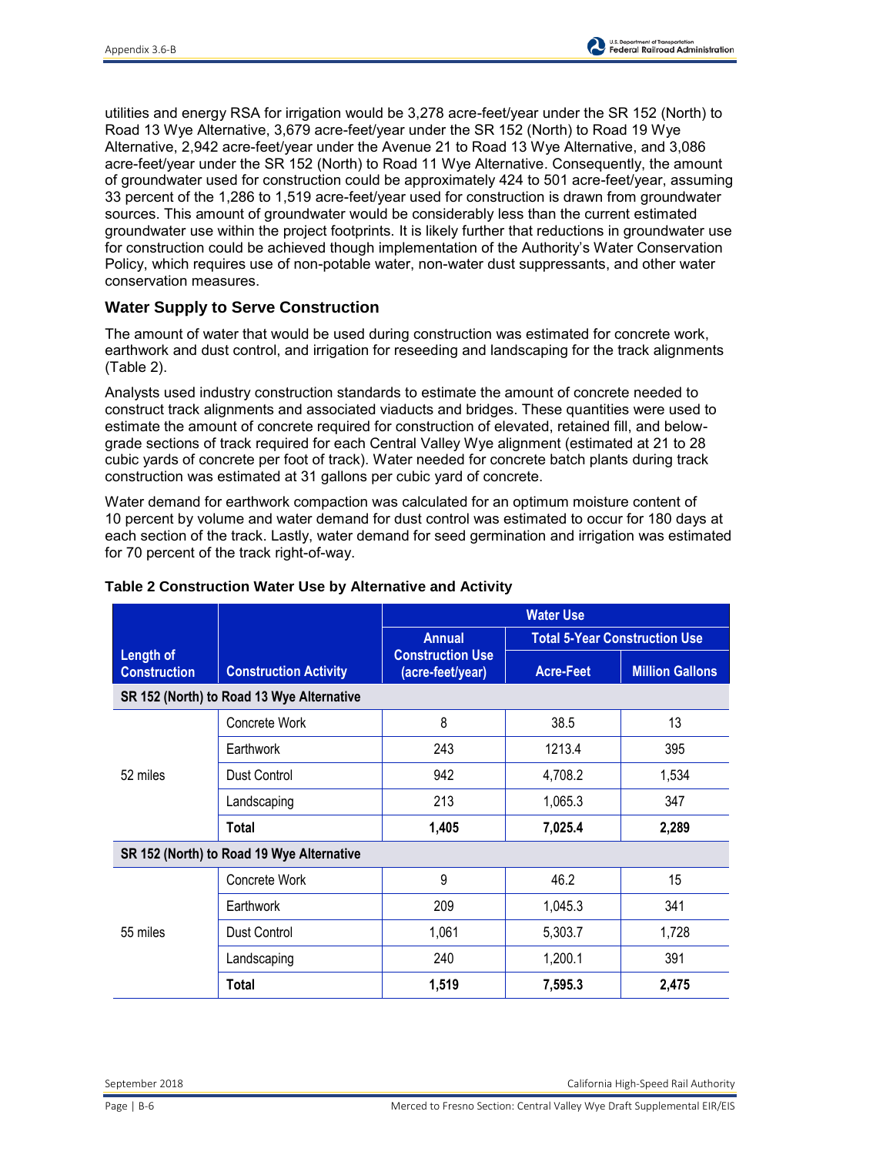utilities and energy RSA for irrigation would be 3,278 acre-feet/year under the SR 152 (North) to Road 13 Wye Alternative, 3,679 acre-feet/year under the SR 152 (North) to Road 19 Wye Alternative, 2,942 acre-feet/year under the Avenue 21 to Road 13 Wye Alternative, and 3,086 acre-feet/year under the SR 152 (North) to Road 11 Wye Alternative. Consequently, the amount of groundwater used for construction could be approximately 424 to 501 acre-feet/year, assuming 33 percent of the 1,286 to 1,519 acre-feet/year used for construction is drawn from groundwater sources. This amount of groundwater would be considerably less than the current estimated groundwater use within the project footprints. It is likely further that reductions in groundwater use for construction could be achieved though implementation of the Authority's Water Conservation Policy, which requires use of non-potable water, non-water dust suppressants, and other water conservation measures.

#### **Water Supply to Serve Construction**

The amount of water that would be used during construction was estimated for concrete work, earthwork and dust control, and irrigation for reseeding and landscaping for the track alignments (Table 2).

Analysts used industry construction standards to estimate the amount of concrete needed to construct track alignments and associated viaducts and bridges. These quantities were used to estimate the amount of concrete required for construction of elevated, retained fill, and belowgrade sections of track required for each Central Valley Wye alignment (estimated at 21 to 28 cubic yards of concrete per foot of track). Water needed for concrete batch plants during track construction was estimated at 31 gallons per cubic yard of concrete.

Water demand for earthwork compaction was calculated for an optimum moisture content of 10 percent by volume and water demand for dust control was estimated to occur for 180 days at each section of the track. Lastly, water demand for seed germination and irrigation was estimated for 70 percent of the track right-of-way.

|                                           |                                           | <b>Water Use</b>                                             |                                      |                        |
|-------------------------------------------|-------------------------------------------|--------------------------------------------------------------|--------------------------------------|------------------------|
|                                           | <b>Construction Activity</b>              | <b>Annual</b><br><b>Construction Use</b><br>(acre-feet/year) | <b>Total 5-Year Construction Use</b> |                        |
| Length of<br><b>Construction</b>          |                                           |                                                              | <b>Acre-Feet</b>                     | <b>Million Gallons</b> |
|                                           | SR 152 (North) to Road 13 Wye Alternative |                                                              |                                      |                        |
| 52 miles                                  | Concrete Work                             | 8                                                            | 38.5                                 | 13                     |
|                                           | Earthwork                                 | 243                                                          | 1213.4                               | 395                    |
|                                           | Dust Control                              | 942                                                          | 4,708.2                              | 1,534                  |
|                                           | Landscaping                               | 213                                                          | 1,065.3                              | 347                    |
|                                           | Total                                     | 1,405                                                        | 7,025.4                              | 2,289                  |
| SR 152 (North) to Road 19 Wye Alternative |                                           |                                                              |                                      |                        |
| 55 miles                                  | Concrete Work                             | 9                                                            | 46.2                                 | 15                     |
|                                           | Earthwork                                 | 209                                                          | 1,045.3                              | 341                    |
|                                           | Dust Control                              | 1,061                                                        | 5,303.7                              | 1,728                  |
|                                           | Landscaping                               | 240                                                          | 1,200.1                              | 391                    |
|                                           | Total                                     | 1,519                                                        | 7,595.3                              | 2,475                  |

#### **Table 2 Construction Water Use by Alternative and Activity**

September 2018 California High-Speed Rail Authority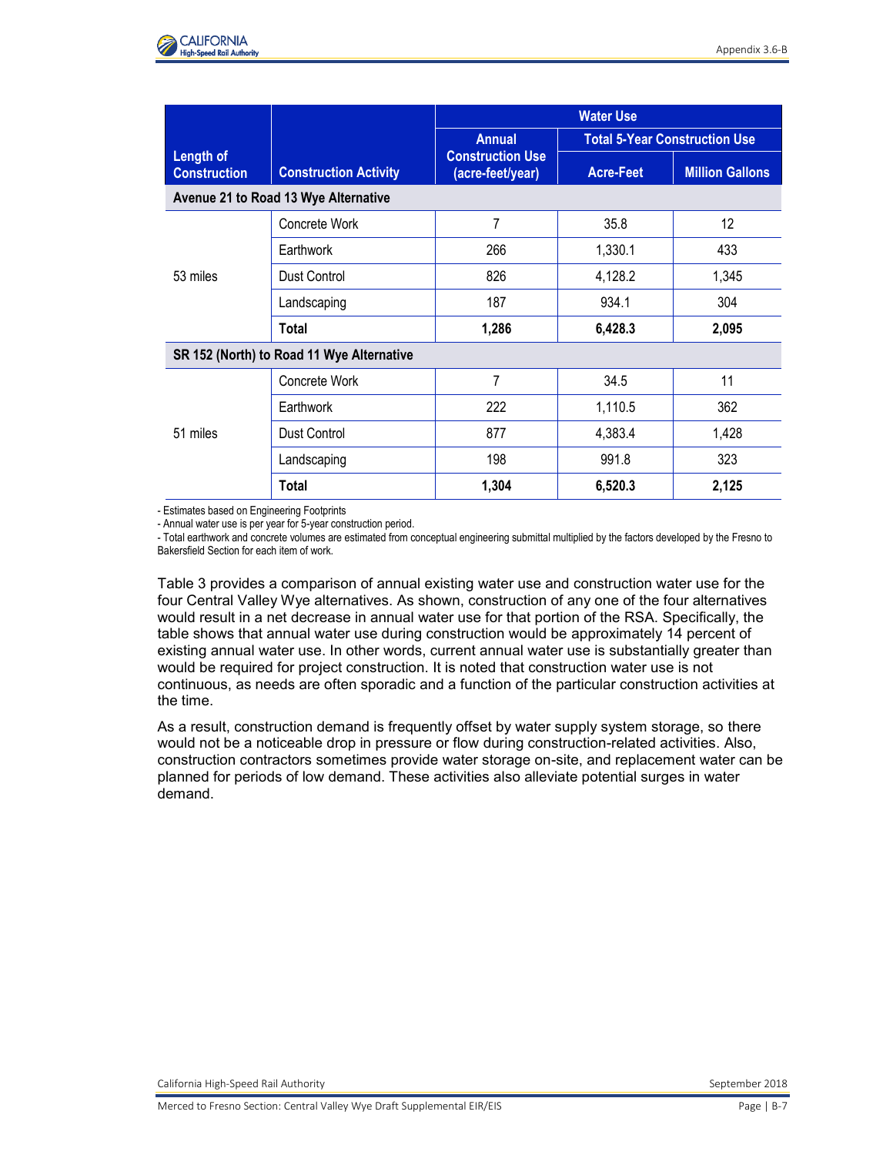

|                                           |                              | <b>Water Use</b>                                             |                                      |                        |
|-------------------------------------------|------------------------------|--------------------------------------------------------------|--------------------------------------|------------------------|
| Length of<br><b>Construction</b>          | <b>Construction Activity</b> | <b>Annual</b><br><b>Construction Use</b><br>(acre-feet/year) | <b>Total 5-Year Construction Use</b> |                        |
|                                           |                              |                                                              | <b>Acre-Feet</b>                     | <b>Million Gallons</b> |
| Avenue 21 to Road 13 Wye Alternative      |                              |                                                              |                                      |                        |
| 53 miles                                  | Concrete Work                | 7                                                            | 35.8                                 | 12                     |
|                                           | Earthwork                    | 266                                                          | 1,330.1                              | 433                    |
|                                           | Dust Control                 | 826                                                          | 4,128.2                              | 1,345                  |
|                                           | Landscaping                  | 187                                                          | 934.1                                | 304                    |
|                                           | Total                        | 1,286                                                        | 6,428.3                              | 2,095                  |
| SR 152 (North) to Road 11 Wye Alternative |                              |                                                              |                                      |                        |
| 51 miles                                  | Concrete Work                | 7                                                            | 34.5                                 | 11                     |
|                                           | Earthwork                    | 222                                                          | 1,110.5                              | 362                    |
|                                           | Dust Control                 | 877                                                          | 4,383.4                              | 1,428                  |
|                                           | Landscaping                  | 198                                                          | 991.8                                | 323                    |
|                                           | Total                        | 1,304                                                        | 6,520.3                              | 2,125                  |

- Estimates based on Engineering Footprints

- Annual water use is per year for 5-year construction period.

- Total earthwork and concrete volumes are estimated from conceptual engineering submittal multiplied by the factors developed by the Fresno to Bakersfield Section for each item of work.

Table 3 provides a comparison of annual existing water use and construction water use for the four Central Valley Wye alternatives. As shown, construction of any one of the four alternatives would result in a net decrease in annual water use for that portion of the RSA. Specifically, the table shows that annual water use during construction would be approximately 14 percent of existing annual water use. In other words, current annual water use is substantially greater than would be required for project construction. It is noted that construction water use is not continuous, as needs are often sporadic and a function of the particular construction activities at the time.

As a result, construction demand is frequently offset by water supply system storage, so there would not be a noticeable drop in pressure or flow during construction-related activities. Also, construction contractors sometimes provide water storage on-site, and replacement water can be planned for periods of low demand. These activities also alleviate potential surges in water demand.

California High-Speed Rail Authority September 2018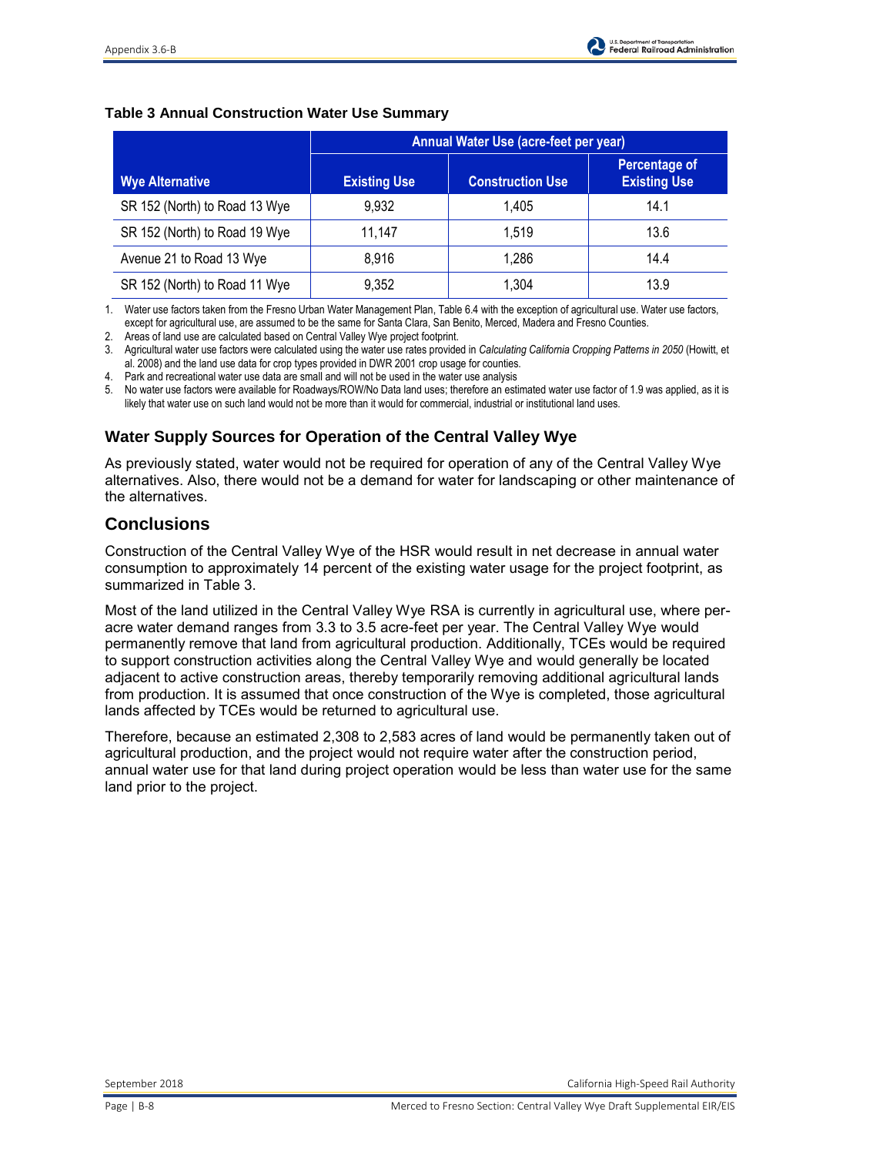#### **Table 3 Annual Construction Water Use Summary**

|                               | Annual Water Use (acre-feet per year) |                         |                                             |  |
|-------------------------------|---------------------------------------|-------------------------|---------------------------------------------|--|
| <b>Wye Alternative</b>        | <b>Existing Use</b>                   | <b>Construction Use</b> | <b>Percentage of</b><br><b>Existing Use</b> |  |
| SR 152 (North) to Road 13 Wye | 9.932                                 | 1.405                   | 14.1                                        |  |
| SR 152 (North) to Road 19 Wye | 11,147                                | 1.519                   | 13.6                                        |  |
| Avenue 21 to Road 13 Wye      | 8,916                                 | 1.286                   | 14.4                                        |  |
| SR 152 (North) to Road 11 Wye | 9,352                                 | 1,304                   | 13.9                                        |  |

1. Water use factors taken from the Fresno Urban Water Management Plan, Table 6.4 with the exception of agricultural use. Water use factors, except for agricultural use, are assumed to be the same for Santa Clara, San Benito, Merced, Madera and Fresno Counties.

2. Areas of land use are calculated based on Central Valley Wye project footprint.

3. Agricultural water use factors were calculated using the water use rates provided in *Calculating California Cropping Patterns in 2050* (Howitt, et al. 2008) and the land use data for crop types provided in DWR 2001 crop usage for counties.

4. Park and recreational water use data are small and will not be used in the water use analysis

5. No water use factors were available for Roadways/ROW/No Data land uses; therefore an estimated water use factor of 1.9 was applied, as it is likely that water use on such land would not be more than it would for commercial, industrial or institutional land uses.

### **Water Supply Sources for Operation of the Central Valley Wye**

As previously stated, water would not be required for operation of any of the Central Valley Wye alternatives. Also, there would not be a demand for water for landscaping or other maintenance of the alternatives.

### **Conclusions**

Construction of the Central Valley Wye of the HSR would result in net decrease in annual water consumption to approximately 14 percent of the existing water usage for the project footprint, as summarized in Table 3.

Most of the land utilized in the Central Valley Wye RSA is currently in agricultural use, where peracre water demand ranges from 3.3 to 3.5 acre-feet per year. The Central Valley Wye would permanently remove that land from agricultural production. Additionally, TCEs would be required to support construction activities along the Central Valley Wye and would generally be located adjacent to active construction areas, thereby temporarily removing additional agricultural lands from production. It is assumed that once construction of the Wye is completed, those agricultural lands affected by TCEs would be returned to agricultural use.

Therefore, because an estimated 2,308 to 2,583 acres of land would be permanently taken out of agricultural production, and the project would not require water after the construction period, annual water use for that land during project operation would be less than water use for the same land prior to the project.